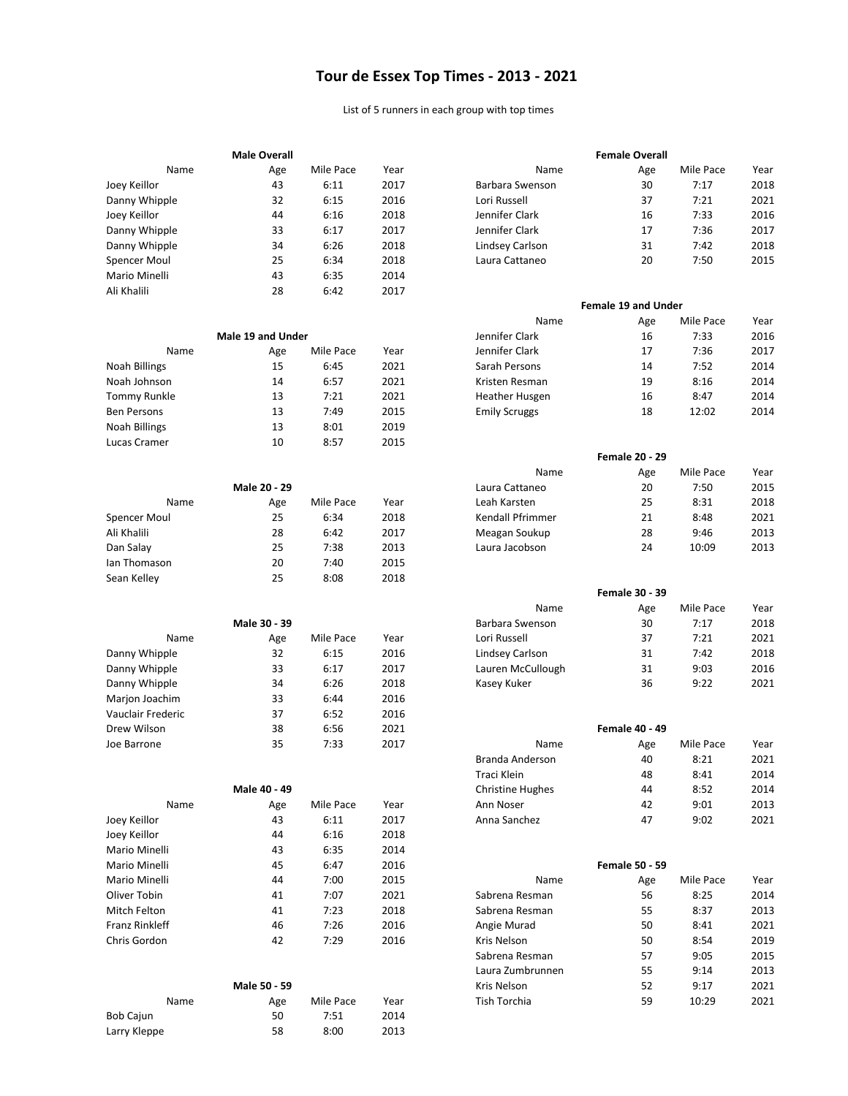## Tour de Essex Top Times - 2013 - 2021

List of 5 runners in each group with top times

| <b>Male Overall</b>   |                   |           | <b>Female Overall</b> |                         |                            |           |      |
|-----------------------|-------------------|-----------|-----------------------|-------------------------|----------------------------|-----------|------|
| Name                  | Age               | Mile Pace | Year                  | Name                    | Age                        | Mile Pace | Year |
| Joey Keillor          | 43                | 6:11      | 2017                  | Barbara Swenson         | 30                         | 7:17      | 2018 |
| Danny Whipple         | 32                | 6:15      | 2016                  | Lori Russell            | 37                         | 7:21      | 2021 |
| Joey Keillor          | 44                | 6:16      | 2018                  | Jennifer Clark          | 16                         | 7:33      | 2016 |
| Danny Whipple         | 33                | 6:17      | 2017                  | Jennifer Clark          | 17                         | 7:36      | 2017 |
| Danny Whipple         | 34                | 6:26      | 2018                  | <b>Lindsey Carlson</b>  | 31                         | 7:42      | 2018 |
| Spencer Moul          | 25                | 6:34      | 2018                  | Laura Cattaneo          | 20                         | 7:50      | 2015 |
| Mario Minelli         | 43                | 6:35      | 2014                  |                         |                            |           |      |
| Ali Khalili           | 28                | 6:42      | 2017                  |                         |                            |           |      |
|                       |                   |           |                       |                         | <b>Female 19 and Under</b> |           |      |
|                       |                   |           |                       | Name                    | Age                        | Mile Pace | Year |
|                       | Male 19 and Under |           |                       | Jennifer Clark          | 16                         | 7:33      | 2016 |
| Name                  | Age               | Mile Pace | Year                  | Jennifer Clark          | 17                         | 7:36      | 2017 |
| Noah Billings         | 15                | 6:45      | 2021                  | Sarah Persons           | 14                         | 7:52      | 2014 |
| Noah Johnson          | 14                | 6:57      | 2021                  | Kristen Resman          | 19                         | 8:16      | 2014 |
| <b>Tommy Runkle</b>   | 13                | 7:21      | 2021                  | <b>Heather Husgen</b>   | 16                         | 8:47      | 2014 |
| <b>Ben Persons</b>    | 13                | 7:49      | 2015                  | <b>Emily Scruggs</b>    | 18                         | 12:02     | 2014 |
| Noah Billings         | 13                | 8:01      | 2019                  |                         |                            |           |      |
| Lucas Cramer          | 10                | 8:57      | 2015                  |                         |                            |           |      |
|                       |                   |           |                       |                         | <b>Female 20 - 29</b>      |           |      |
|                       |                   |           |                       | Name                    | Age                        | Mile Pace | Year |
|                       | Male 20 - 29      |           |                       | Laura Cattaneo          | 20                         | 7:50      | 2015 |
| Name                  | Age               | Mile Pace | Year                  | Leah Karsten            | 25                         | 8:31      | 2018 |
| Spencer Moul          | 25                | 6:34      | 2018                  | Kendall Pfrimmer        | 21                         | 8:48      | 2021 |
| Ali Khalili           | 28                | 6:42      | 2017                  | Meagan Soukup           | 28                         | 9:46      | 2013 |
| Dan Salay             | 25                | 7:38      | 2013                  | Laura Jacobson          | 24                         | 10:09     | 2013 |
| Ian Thomason          | 20                | 7:40      | 2015                  |                         |                            |           |      |
| Sean Kelley           | 25                | 8:08      | 2018                  |                         |                            |           |      |
|                       |                   |           |                       |                         | <b>Female 30 - 39</b>      |           |      |
|                       |                   |           |                       | Name                    | Age                        | Mile Pace | Year |
|                       | Male 30 - 39      |           |                       | Barbara Swenson         | 30                         | 7:17      | 2018 |
| Name                  | Age               | Mile Pace | Year                  | Lori Russell            | 37                         | 7:21      | 2021 |
| Danny Whipple         | 32                | 6:15      | 2016                  | Lindsey Carlson         | 31                         | 7:42      | 2018 |
| Danny Whipple         | 33                | 6:17      | 2017                  | Lauren McCullough       | 31                         | 9:03      | 2016 |
| Danny Whipple         | 34                | 6:26      | 2018                  | Kasey Kuker             | 36                         | 9:22      | 2021 |
| Marjon Joachim        | 33                | 6:44      | 2016                  |                         |                            |           |      |
| Vauclair Frederic     | 37                | 6:52      | 2016                  |                         |                            |           |      |
| Drew Wilson           | 38                | 6:56      | 2021                  |                         | <b>Female 40 - 49</b>      |           |      |
| Joe Barrone           | 35                | 7:33      | 2017                  | Name                    | Age                        | Mile Pace | Year |
|                       |                   |           |                       | Branda Anderson         | 40                         | 8:21      | 2021 |
|                       |                   |           |                       | Traci Klein             | 48                         | 8:41      | 2014 |
|                       | Male 40 - 49      |           |                       | <b>Christine Hughes</b> | 44                         | 8:52      | 2014 |
| Name                  | Age               | Mile Pace | Year                  | Ann Noser               | 42                         | 9:01      | 2013 |
| Joey Keillor          | 43                | 6:11      | 2017                  | Anna Sanchez            | 47                         | 9:02      | 2021 |
| Joey Keillor          | 44                | 6:16      | 2018                  |                         |                            |           |      |
| Mario Minelli         | 43                | 6:35      | 2014                  |                         |                            |           |      |
| Mario Minelli         | 45                | 6:47      | 2016                  |                         | <b>Female 50 - 59</b>      |           |      |
| Mario Minelli         | 44                | 7:00      | 2015                  | Name                    | Age                        | Mile Pace | Year |
| Oliver Tobin          | 41                | 7:07      | 2021                  | Sabrena Resman          | 56                         | 8:25      | 2014 |
| Mitch Felton          | 41                | 7:23      | 2018                  | Sabrena Resman          | 55                         | 8:37      | 2013 |
| <b>Franz Rinkleff</b> | 46                | 7:26      | 2016                  | Angie Murad             | 50                         | 8:41      | 2021 |
| Chris Gordon          | 42                | 7:29      | 2016                  | Kris Nelson             | 50                         | 8:54      | 2019 |
|                       |                   |           |                       | Sabrena Resman          | 57                         | 9:05      | 2015 |
|                       |                   |           |                       | Laura Zumbrunnen        | 55                         | 9:14      | 2013 |
|                       | Male 50 - 59      |           |                       | Kris Nelson             | 52                         | 9:17      | 2021 |
| Name                  | Age               | Mile Pace | Year                  | Tish Torchia            | 59                         | 10:29     | 2021 |
| <b>Bob Cajun</b>      | 50                | 7:51      | 2014                  |                         |                            |           |      |
| Larry Kleppe          | 58                | 8:00      | 2013                  |                         |                            |           |      |
|                       |                   |           |                       |                         |                            |           |      |

|      | <b>Male Overall</b> |           |      | <b>Female Overall</b> |     |           |      |
|------|---------------------|-----------|------|-----------------------|-----|-----------|------|
| Name | Age                 | Mile Pace | Year | Name                  | Age | Mile Pace | Year |
|      | 43                  | 6:11      | 2017 | Barbara Swenson       | 30  | 7:17      | 2018 |
| ۱е   | 32                  | 6:15      | 2016 | Lori Russell          | 37  | 7:21      | 2021 |
|      | 44                  | 6:16      | 2018 | Jennifer Clark        | 16  | 7:33      | 2016 |
| e le | 33                  | 6:17      | 2017 | Jennifer Clark        | 17  | 7:36      | 2017 |
| ۱е   | 34                  | 6:26      | 2018 | Lindsey Carlson       | 31  | 7:42      | 2018 |
|      | 25                  | 6:34      | 2018 | Laura Cattaneo        | 20  | 7:50      | 2015 |
|      |                     | $  -$     | ---- |                       |     |           |      |

|      |                          |           |      | <b>Female 19 and Under</b> |                       |           |      |
|------|--------------------------|-----------|------|----------------------------|-----------------------|-----------|------|
|      |                          |           |      | Name                       | Age                   | Mile Pace | Year |
|      | <b>Male 19 and Under</b> |           |      | Jennifer Clark             | 16                    | 7:33      | 2016 |
| Name | Age                      | Mile Pace | Year | Jennifer Clark             | 17                    | 7:36      | 2017 |
|      | 15                       | 6:45      | 2021 | Sarah Persons              | 14                    | 7:52      | 2014 |
| n    | 14                       | 6:57      | 2021 | Kristen Resman             | 19                    | 8:16      | 2014 |
| :le  | 13                       | 7:21      | 2021 | <b>Heather Husgen</b>      | 16                    | 8:47      | 2014 |
|      | 13                       | 7:49      | 2015 | <b>Emily Scruggs</b>       | 18                    | 12:02     | 2014 |
|      | 13                       | 8:01      | 2019 |                            |                       |           |      |
|      | 10                       | 8:57      | 2015 |                            |                       |           |      |
|      |                          |           |      |                            | <b>Female 20 - 29</b> |           |      |
|      |                          |           |      | Name                       | Age                   | Mile Pace | Year |

|      |              |           |      | Name             | Age | Mile Pace | Year |
|------|--------------|-----------|------|------------------|-----|-----------|------|
|      | Male 20 - 29 |           |      | Laura Cattaneo   | 20  | 7:50      | 2015 |
| Name | Age          | Mile Pace | Year | Leah Karsten     | 25  | 8:31      | 2018 |
|      | 25           | 6:34      | 2018 | Kendall Pfrimmer | 21  | 8:48      | 2021 |
|      | 28           | 6:42      | 2017 | Meagan Soukup    | 28  | 9:46      | 2013 |
|      | 25           | 7:38      | 2013 | Laura Jacobson   | 24  | 10:09     | 2013 |

|      |              |           |      | <b>Female 30 - 39</b> |     |           |      |  |
|------|--------------|-----------|------|-----------------------|-----|-----------|------|--|
|      |              |           |      | Name                  | Age | Mile Pace | Year |  |
|      | Male 30 - 39 |           |      | Barbara Swenson       | 30  | 7:17      | 2018 |  |
| Name | Age          | Mile Pace | Year | Lori Russell          | 37  | 7:21      | 2021 |  |
| ۱е   | 32           | 6:15      | 2016 | Lindsey Carlson       | 31  | 7:42      | 2018 |  |
| , و  | 33           | 6:17      | 2017 | Lauren McCullough     | 31  | 9:03      | 2016 |  |
| ۱е   | 34           | 6:26      | 2018 | Kasey Kuker           | 36  | 9:22      | 2021 |  |

|      | 38           | 6:56      | 2021 |                         | <b>Female 40 - 49</b> |           |      |  |  |
|------|--------------|-----------|------|-------------------------|-----------------------|-----------|------|--|--|
|      | 35           | 7:33      | 2017 | Name                    | Age                   | Mile Pace | Year |  |  |
|      |              |           |      | Branda Anderson         | 40                    | 8:21      | 2021 |  |  |
|      |              |           |      | Traci Klein             | 48                    | 8:41      | 2014 |  |  |
|      | Male 40 - 49 |           |      | <b>Christine Hughes</b> | 44                    | 8:52      | 2014 |  |  |
| Name | Age          | Mile Pace | Year | Ann Noser               | 42                    | 9:01      | 2013 |  |  |
|      | 43           | 6:11      | 2017 | Anna Sanchez            | 47                    | 9:02      | 2021 |  |  |

|      | 45           | 6:47      | 2016 |                  | <b>Female 50 - 59</b> |           |      |
|------|--------------|-----------|------|------------------|-----------------------|-----------|------|
|      | 44           | 7:00      | 2015 | Name             | Age                   | Mile Pace | Year |
|      | 41           | 7:07      | 2021 | Sabrena Resman   | 56                    | 8:25      | 2014 |
|      | 41           | 7:23      | 2018 | Sabrena Resman   | 55                    | 8:37      | 2013 |
|      | 46           | 7:26      | 2016 | Angie Murad      | 50                    | 8:41      | 2021 |
|      | 42           | 7:29      | 2016 | Kris Nelson      | 50                    | 8:54      | 2019 |
|      |              |           |      | Sabrena Resman   | 57                    | 9:05      | 2015 |
|      |              |           |      | Laura Zumbrunnen | 55                    | 9:14      | 2013 |
|      | Male 50 - 59 |           |      | Kris Nelson      | 52                    | 9:17      | 2021 |
| Name | Age          | Mile Pace | Year | Tish Torchia     | 59                    | 10:29     | 2021 |
|      |              |           |      |                  |                       |           |      |